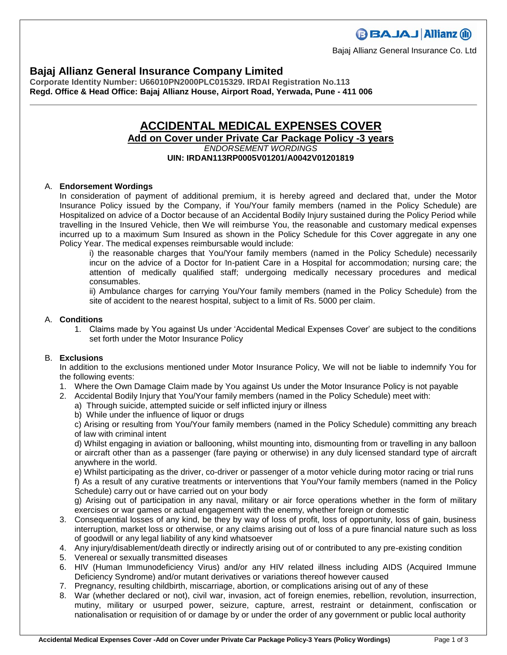Bajaj Allianz General Insurance Co. Ltd

# **Bajaj Allianz General Insurance Company Limited**

**Corporate Identity Number: U66010PN2000PLC015329. IRDAI Registration No.113 Regd. Office & Head Office: Bajaj Allianz House, Airport Road, Yerwada, Pune - 411 006**

## **ACCIDENTAL MEDICAL EXPENSES COVER Add on Cover under Private Car Package Policy -3 years**

*ENDORSEMENT WORDINGS* **UIN: IRDAN113RP0005V01201/A0042V01201819**

## A. **Endorsement Wordings**

In consideration of payment of additional premium, it is hereby agreed and declared that, under the Motor Insurance Policy issued by the Company, if You/Your family members (named in the Policy Schedule) are Hospitalized on advice of a Doctor because of an Accidental Bodily Injury sustained during the Policy Period while travelling in the Insured Vehicle, then We will reimburse You, the reasonable and customary medical expenses incurred up to a maximum Sum Insured as shown in the Policy Schedule for this Cover aggregate in any one Policy Year. The medical expenses reimbursable would include:

i) the reasonable charges that You/Your family members (named in the Policy Schedule) necessarily incur on the advice of a Doctor for In-patient Care in a Hospital for accommodation; nursing care; the attention of medically qualified staff; undergoing medically necessary procedures and medical consumables.

ii) Ambulance charges for carrying You/Your family members (named in the Policy Schedule) from the site of accident to the nearest hospital, subject to a limit of Rs. 5000 per claim.

### A. **Conditions**

1. Claims made by You against Us under 'Accidental Medical Expenses Cover' are subject to the conditions set forth under the Motor Insurance Policy

### B. **Exclusions**

In addition to the exclusions mentioned under Motor Insurance Policy, We will not be liable to indemnify You for the following events:

- 1. Where the Own Damage Claim made by You against Us under the Motor Insurance Policy is not payable
- 2. Accidental Bodily Injury that You/Your family members (named in the Policy Schedule) meet with:
	- a) Through suicide, attempted suicide or self inflicted injury or illness
	- b) While under the influence of liquor or drugs

c) Arising or resulting from You/Your family members (named in the Policy Schedule) committing any breach of law with criminal intent

d) Whilst engaging in aviation or ballooning, whilst mounting into, dismounting from or travelling in any balloon or aircraft other than as a passenger (fare paying or otherwise) in any duly licensed standard type of aircraft anywhere in the world.

e) Whilst participating as the driver, co-driver or passenger of a motor vehicle during motor racing or trial runs f) As a result of any curative treatments or interventions that You/Your family members (named in the Policy Schedule) carry out or have carried out on your body

g) Arising out of participation in any naval, military or air force operations whether in the form of military exercises or war games or actual engagement with the enemy, whether foreign or domestic

- 3. Consequential losses of any kind, be they by way of loss of profit, loss of opportunity, loss of gain, business interruption, market loss or otherwise, or any claims arising out of loss of a pure financial nature such as loss of goodwill or any legal liability of any kind whatsoever
- 4. Any injury/disablement/death directly or indirectly arising out of or contributed to any pre-existing condition
- 5. Venereal or sexually transmitted diseases
- 6. HIV (Human Immunodeficiency Virus) and/or any HIV related illness including AIDS (Acquired Immune Deficiency Syndrome) and/or mutant derivatives or variations thereof however caused
- 7. Pregnancy, resulting childbirth, miscarriage, abortion, or complications arising out of any of these
- 8. War (whether declared or not), civil war, invasion, act of foreign enemies, rebellion, revolution, insurrection, mutiny, military or usurped power, seizure, capture, arrest, restraint or detainment, confiscation or nationalisation or requisition of or damage by or under the order of any government or public local authority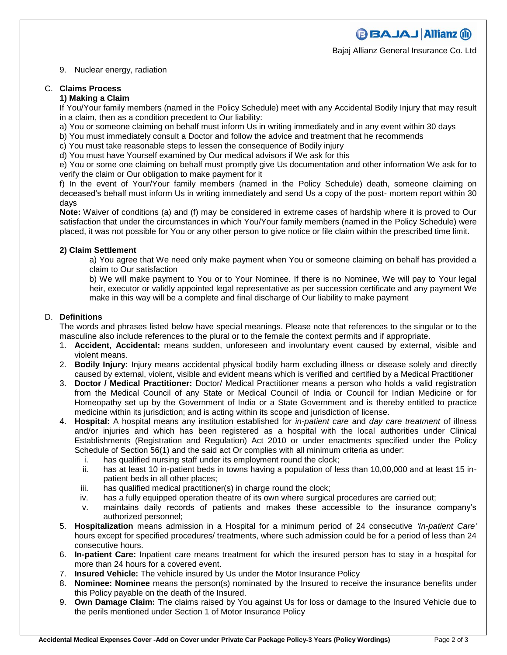**BBAJAJ Allianz (ii)** 

Bajaj Allianz General Insurance Co. Ltd

#### 9. Nuclear energy, radiation

#### C. **Claims Process**

#### **1) Making a Claim**

If You/Your family members (named in the Policy Schedule) meet with any Accidental Bodily Injury that may result in a claim, then as a condition precedent to Our liability:

- a) You or someone claiming on behalf must inform Us in writing immediately and in any event within 30 days
- b) You must immediately consult a Doctor and follow the advice and treatment that he recommends
- c) You must take reasonable steps to lessen the consequence of Bodily injury
- d) You must have Yourself examined by Our medical advisors if We ask for this

e) You or some one claiming on behalf must promptly give Us documentation and other information We ask for to verify the claim or Our obligation to make payment for it

f) In the event of Your/Your family members (named in the Policy Schedule) death, someone claiming on deceased's behalf must inform Us in writing immediately and send Us a copy of the post- mortem report within 30 days

**Note:** Waiver of conditions (a) and (f) may be considered in extreme cases of hardship where it is proved to Our satisfaction that under the circumstances in which You/Your family members (named in the Policy Schedule) were placed, it was not possible for You or any other person to give notice or file claim within the prescribed time limit.

#### **2) Claim Settlement**

a) You agree that We need only make payment when You or someone claiming on behalf has provided a claim to Our satisfaction

b) We will make payment to You or to Your Nominee. If there is no Nominee, We will pay to Your legal heir, executor or validly appointed legal representative as per succession certificate and any payment We make in this way will be a complete and final discharge of Our liability to make payment

#### D. **Definitions**

The words and phrases listed below have special meanings. Please note that references to the singular or to the masculine also include references to the plural or to the female the context permits and if appropriate.

- 1. **Accident, Accidental:** means sudden, unforeseen and involuntary event caused by external, visible and violent means.
- 2. **Bodily Injury:** Injury means accidental physical bodily harm excluding illness or disease solely and directly caused by external, violent, visible and evident means which is verified and certified by a Medical Practitioner
- 3. **Doctor / Medical Practitioner:** Doctor/ Medical Practitioner means a person who holds a valid registration from the Medical Council of any State or Medical Council of India or Council for Indian Medicine or for Homeopathy set up by the Government of India or a State Government and is thereby entitled to practice medicine within its jurisdiction; and is acting within its scope and jurisdiction of license.
- 4. **Hospital:** A hospital means any institution established for *in-patient care* and *day care treatment* of illness and/or injuries and which has been registered as a hospital with the local authorities under Clinical Establishments (Registration and Regulation) Act 2010 or under enactments specified under the Policy Schedule of Section 56(1) and the said act Or complies with all minimum criteria as under:
	- i. has qualified nursing staff under its employment round the clock;
	- ii. has at least 10 in-patient beds in towns having a population of less than 10,00,000 and at least 15 inpatient beds in all other places;
	- iii. has qualified medical practitioner(s) in charge round the clock;
	- iv. has a fully equipped operation theatre of its own where surgical procedures are carried out;
	- v. maintains daily records of patients and makes these accessible to the insurance company's authorized personnel;
- 5. **Hospitalization** means admission in a Hospital for a minimum period of 24 consecutive *'In-patient Care'*  hours except for specified procedures/ treatments, where such admission could be for a period of less than 24 consecutive hours.
- 6. **In-patient Care:** Inpatient care means treatment for which the insured person has to stay in a hospital for more than 24 hours for a covered event.
- 7. **Insured Vehicle:** The vehicle insured by Us under the Motor Insurance Policy
- 8. **Nominee: Nominee** means the person(s) nominated by the Insured to receive the insurance benefits under this Policy payable on the death of the Insured.
- 9. **Own Damage Claim:** The claims raised by You against Us for loss or damage to the Insured Vehicle due to the perils mentioned under Section 1 of Motor Insurance Policy